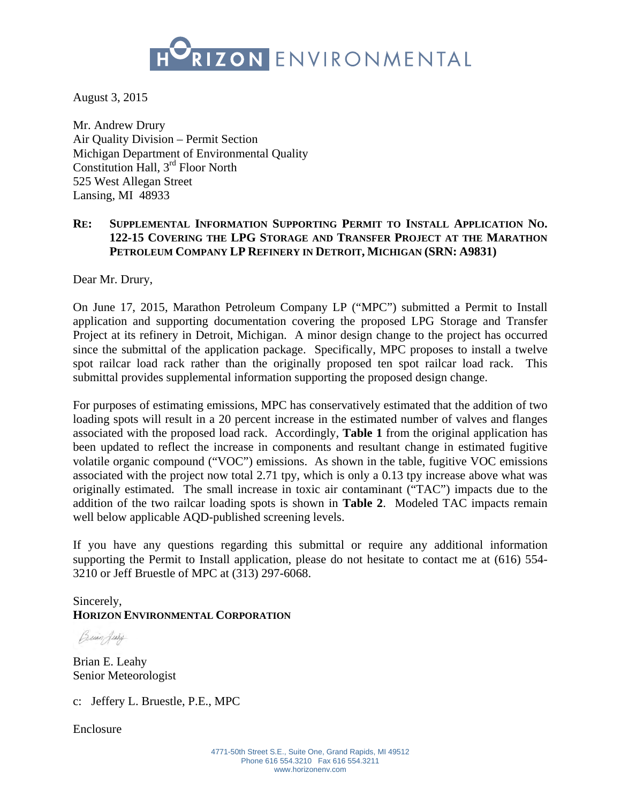

August 3, 2015

Mr. Andrew Drury Air Quality Division – Permit Section Michigan Department of Environmental Quality Constitution Hall, 3rd Floor North 525 West Allegan Street Lansing, MI 48933

# **RE: SUPPLEMENTAL INFORMATION SUPPORTING PERMIT TO INSTALL APPLICATION NO. 122-15 COVERING THE LPG STORAGE AND TRANSFER PROJECT AT THE MARATHON PETROLEUM COMPANY LP REFINERY IN DETROIT, MICHIGAN (SRN: A9831)**

Dear Mr. Drury,

On June 17, 2015, Marathon Petroleum Company LP ("MPC") submitted a Permit to Install application and supporting documentation covering the proposed LPG Storage and Transfer Project at its refinery in Detroit, Michigan. A minor design change to the project has occurred since the submittal of the application package. Specifically, MPC proposes to install a twelve spot railcar load rack rather than the originally proposed ten spot railcar load rack. This submittal provides supplemental information supporting the proposed design change.

For purposes of estimating emissions, MPC has conservatively estimated that the addition of two loading spots will result in a 20 percent increase in the estimated number of valves and flanges associated with the proposed load rack. Accordingly, **Table 1** from the original application has been updated to reflect the increase in components and resultant change in estimated fugitive volatile organic compound ("VOC") emissions. As shown in the table, fugitive VOC emissions associated with the project now total 2.71 tpy, which is only a 0.13 tpy increase above what was originally estimated. The small increase in toxic air contaminant ("TAC") impacts due to the addition of the two railcar loading spots is shown in **Table 2**. Modeled TAC impacts remain well below applicable AQD-published screening levels.

If you have any questions regarding this submittal or require any additional information supporting the Permit to Install application, please do not hesitate to contact me at (616) 554- 3210 or Jeff Bruestle of MPC at (313) 297-6068.

Sincerely, **HORIZON ENVIRONMENTAL CORPORATION** 

Buan July

Brian E. Leahy Senior Meteorologist

c: Jeffery L. Bruestle, P.E., MPC

Enclosure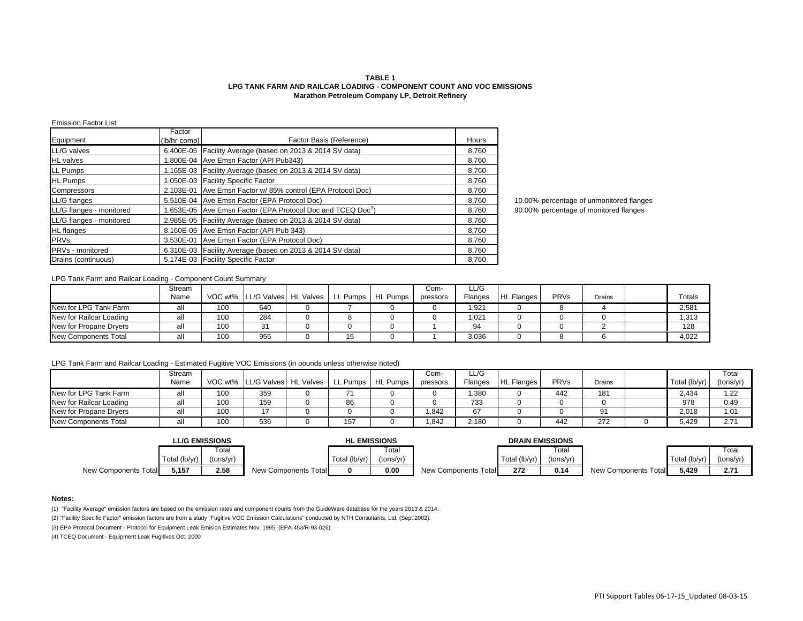### **TABLE 1 LPG TANK FARM AND RAILCAR LOADING - COMPONENT COUNT AND VOC EMISSIONS Marathon Petroleum Company LP, Detroit Refinery**

### Emission Factor List

| Equipment                | Factor<br>(lb/hr-comp) | Factor Basis (Reference)                                                | Hours |
|--------------------------|------------------------|-------------------------------------------------------------------------|-------|
|                          |                        |                                                                         |       |
| LL/G valves              |                        | 6.400E-05 Facility Average (based on 2013 & 2014 SV data)               | 8.760 |
| <b>HL</b> valves         |                        | 1.800E-04 Ave Emsn Factor (API Pub343)                                  | 8.760 |
| LL Pumps                 |                        | 1.165E-03 Facility Average (based on 2013 & 2014 SV data)               | 8,760 |
| <b>HL Pumps</b>          |                        | 1.050E-03 Facility Specific Factor                                      | 8.760 |
| Compressors              |                        | 2.103E-01 Ave Emsn Factor w/85% control (EPA Protocol Doc)              | 8.760 |
| LL/G flanges             |                        | 5.510E-04 Ave Emsn Factor (EPA Protocol Doc)                            | 8,760 |
| LL/G flanges - monitored |                        | 1.653E-05 Ave Emsn Factor (EPA Protocol Doc and TCEQ Doc <sup>3</sup> ) | 8.760 |
| LL/G flanges - monitored |                        | 2.985E-05 Facility Average (based on 2013 & 2014 SV data)               | 8.760 |
| <b>HL</b> flanges        |                        | 8.160E-05 Ave Emsn Factor (API Pub 343)                                 | 8.760 |
| <b>PRVs</b>              |                        | 3.530E-01 Ave Emsn Factor (EPA Protocol Doc)                            | 8,760 |
| <b>PRVs</b> - monitored  |                        | 6.310E-03   Facility Average (based on 2013 & 2014 SV data)             | 8.760 |
| Drains (continuous)      |                        | 5.174E-03 Facility Specific Factor                                      | 8.760 |

10.00% percentage of unmonitored flanges 90.00% percentage of monitored flanges

## LPG Tank Farm and Railcar Loading - Component Count Summary

|                         | Stream |     |                                            |    |          | Com-     | LL/G    |                   |      |        |        |
|-------------------------|--------|-----|--------------------------------------------|----|----------|----------|---------|-------------------|------|--------|--------|
|                         | Name   |     | VOC wt% LL/G Valves   HL Valves   LL Pumps |    | HL Pumps | pressors | Flanges | <b>HL Flanges</b> | PRVs | Drains | Totals |
| New for LPG Tank Farm   | all    | 100 | 640                                        |    |          |          | 921,ا   |                   |      |        | 2,581  |
| New for Railcar Loading | all    | 100 | 284                                        |    |          |          | ,021    |                   |      |        | 1,313  |
| New for Propane Drvers  | all    | 100 | 31                                         |    |          |          | 94      |                   |      |        | 128    |
| New Components Total    | all    | 100 | 955                                        | 15 |          |          | 3,036   |                   |      |        | 4,022  |

## LPG Tank Farm and Railcar Loading - Estimated Fugitive VOC Emissions (in pounds unless otherwise noted)

|                         | Stream |     |                                 |          |                 | Com-     | LL/G    |                   |      |        |               | Total     |
|-------------------------|--------|-----|---------------------------------|----------|-----------------|----------|---------|-------------------|------|--------|---------------|-----------|
|                         | Name   |     | VOC wt% LL/G Valves   HL Valves | LL Pumps | <b>HL Pumps</b> | pressors | Flanges | <b>HL Flanges</b> | PRVs | Drains | Total (lb/yr) | (tons/yr) |
| New for LPG Tank Farm   |        | 100 | 359                             |          |                 |          | .380    |                   | 442  | 181    | 2.434         | 1.22      |
| New for Railcar Loading |        | 100 | 159                             | 86       |                 |          | 733     |                   |      |        | 978           | 0.49      |
| New for Propane Dryers  |        | 100 |                                 |          |                 | .842     | 67      |                   |      |        | 2,018         | 1.01      |
| New Components Total    |        | 100 | 536                             | 157      |                 | .842     | 2,180   |                   | 442  | 272    | 5.429         | 2.71      |

|                      | <b>LL/G EMISSIONS</b> |           | <b>HL EMISSIONS</b>  |               |           |                      |               |           |                      |               |           |
|----------------------|-----------------------|-----------|----------------------|---------------|-----------|----------------------|---------------|-----------|----------------------|---------------|-----------|
|                      |                       | Total     |                      |               | ™otal     |                      |               | Total     |                      |               | Total     |
|                      | Total (lb/yr)         | (tons/yr) |                      | Total (lb/yr) | (tons/vr) |                      | Total (lb/yr) | (tons/yr) |                      | Total (lb/vr) | (tons/yr) |
| New Components Total | 5,157                 | 2.58      | New Components Total |               | 0.00      | New Components Total | 272           | 0.14      | New Components Total | 5,429         | 2.71      |

#### **Notes:**

(1) "Facility Average" emission factors are based on the emission rates and component counts from the GuideWare database for the years 2013 & 2014.

(2) "Facility Specific Factor" emission factors are from a study "Fugitive VOC Emission Calculations" conducted by NTH Consultants, Ltd. (Sept 2002).

(3) EPA Protocol Document - Protocol for Equipment Leak Emision Estimates Nov. 1995 (EPA-453/R-93-026)

(4) TCEQ Document - Equipment Leak Fugitives Oct. 2000